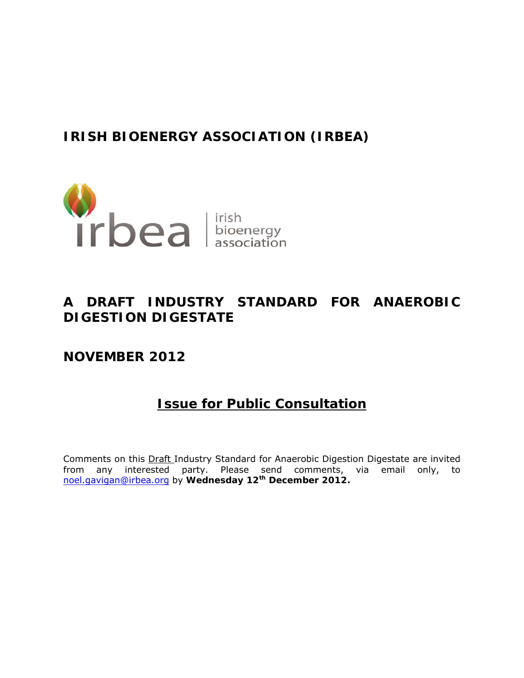# **IRISH BIOENERGY ASSOCIATION (IRBEA)**



# **A DRAFT INDUSTRY STANDARD FOR ANAEROBIC DIGESTION DIGESTATE**

**NOVEMBER 2012** 

# **Issue for Public Consultation**

Comments on this Draft Industry Standard for Anaerobic Digestion Digestate are invited from any interested party. Please send comments, via email only, to noel.gavigan@irbea.org by **Wednesday 12th December 2012.**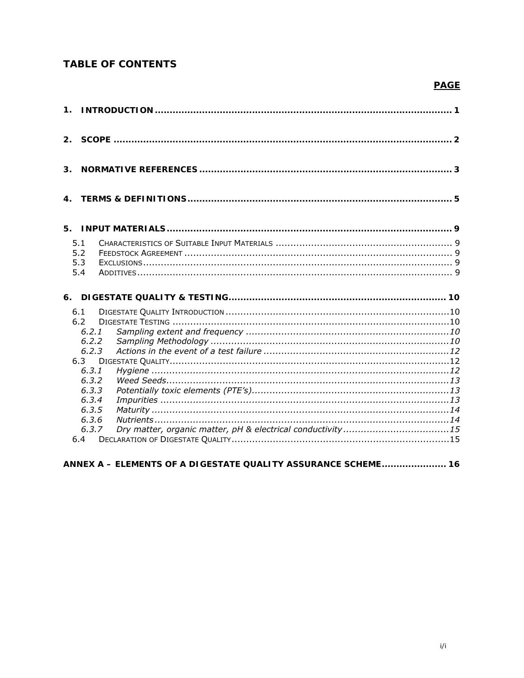# **TABLE OF CONTENTS**

# **PAGE**

| $1_{-}$        |                                                                                                                      |                                                               |  |
|----------------|----------------------------------------------------------------------------------------------------------------------|---------------------------------------------------------------|--|
| 2 <sup>1</sup> |                                                                                                                      |                                                               |  |
| 3.             |                                                                                                                      |                                                               |  |
| $\mathbf{4}$ . |                                                                                                                      |                                                               |  |
| 5.             |                                                                                                                      |                                                               |  |
|                | 5.1<br>5.2<br>5.3<br>5.4                                                                                             |                                                               |  |
|                |                                                                                                                      |                                                               |  |
|                | 6.1<br>6.2<br>6.2.1<br>6.2.2<br>6.2.3<br>6.3<br>6.3.1<br>6.3.2<br>6.3.3<br>6.3.4<br>6.3.5<br>6, 3, 6<br>6.3.7<br>6.4 |                                                               |  |
|                |                                                                                                                      | ANNEX A - ELEMENTS OF A DIGESTATE QUALITY ASSURANCE SCHEME 16 |  |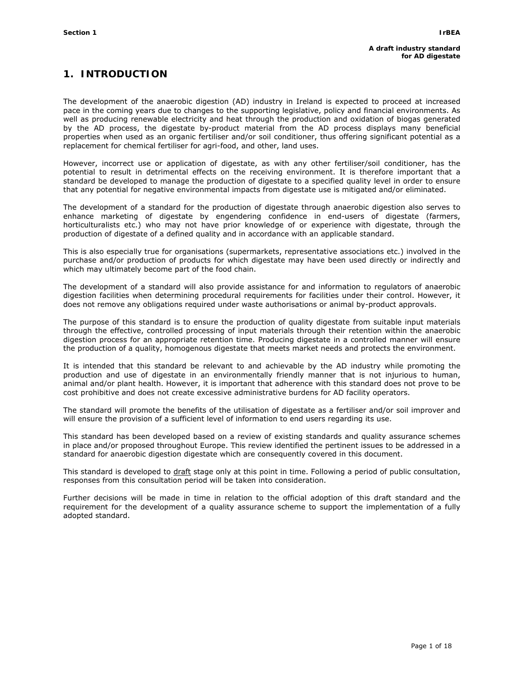# **1. INTRODUCTION**

The development of the anaerobic digestion (AD) industry in Ireland is expected to proceed at increased pace in the coming years due to changes to the supporting legislative, policy and financial environments. As well as producing renewable electricity and heat through the production and oxidation of biogas generated by the AD process, the digestate by-product material from the AD process displays many beneficial properties when used as an organic fertiliser and/or soil conditioner, thus offering significant potential as a replacement for chemical fertiliser for agri-food, and other, land uses.

However, incorrect use or application of digestate, as with any other fertiliser/soil conditioner, has the potential to result in detrimental effects on the receiving environment. It is therefore important that a standard be developed to manage the production of digestate to a specified quality level in order to ensure that any potential for negative environmental impacts from digestate use is mitigated and/or eliminated.

The development of a standard for the production of digestate through anaerobic digestion also serves to enhance marketing of digestate by engendering confidence in end-users of digestate (farmers, horticulturalists etc.) who may not have prior knowledge of or experience with digestate, through the production of digestate of a defined quality and in accordance with an applicable standard.

This is also especially true for organisations (supermarkets, representative associations etc.) involved in the purchase and/or production of products for which digestate may have been used directly or indirectly and which may ultimately become part of the food chain.

The development of a standard will also provide assistance for and information to regulators of anaerobic digestion facilities when determining procedural requirements for facilities under their control. However, it does not remove any obligations required under waste authorisations or animal by-product approvals.

The purpose of this standard is to ensure the production of quality digestate from suitable input materials through the effective, controlled processing of input materials through their retention within the anaerobic digestion process for an appropriate retention time. Producing digestate in a controlled manner will ensure the production of a quality, homogenous digestate that meets market needs and protects the environment.

It is intended that this standard be relevant to and achievable by the AD industry while promoting the production and use of digestate in an environmentally friendly manner that is not injurious to human, animal and/or plant health. However, it is important that adherence with this standard does not prove to be cost prohibitive and does not create excessive administrative burdens for AD facility operators.

The standard will promote the benefits of the utilisation of digestate as a fertiliser and/or soil improver and will ensure the provision of a sufficient level of information to end users regarding its use.

This standard has been developed based on a review of existing standards and quality assurance schemes in place and/or proposed throughout Europe. This review identified the pertinent issues to be addressed in a standard for anaerobic digestion digestate which are consequently covered in this document.

This standard is developed to draft stage only at this point in time. Following a period of public consultation, responses from this consultation period will be taken into consideration.

Further decisions will be made in time in relation to the official adoption of this draft standard and the requirement for the development of a quality assurance scheme to support the implementation of a fully adopted standard.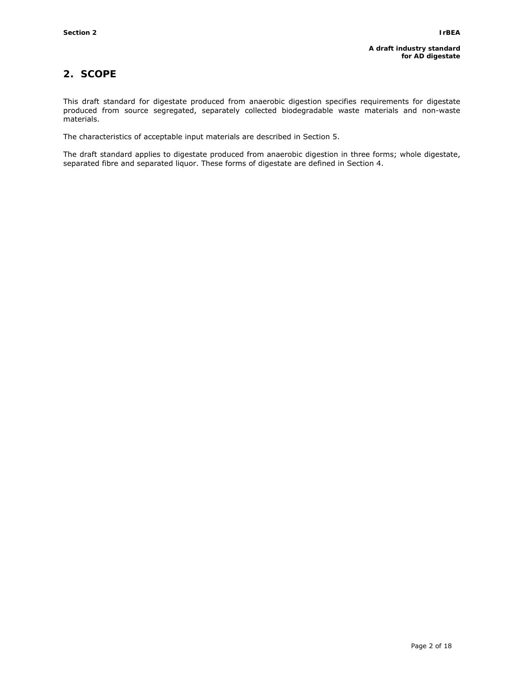# **2. SCOPE**

This draft standard for digestate produced from anaerobic digestion specifies requirements for digestate produced from source segregated, separately collected biodegradable waste materials and non-waste materials.

The characteristics of acceptable input materials are described in Section 5.

The draft standard applies to digestate produced from anaerobic digestion in three forms; whole digestate, separated fibre and separated liquor. These forms of digestate are defined in Section 4.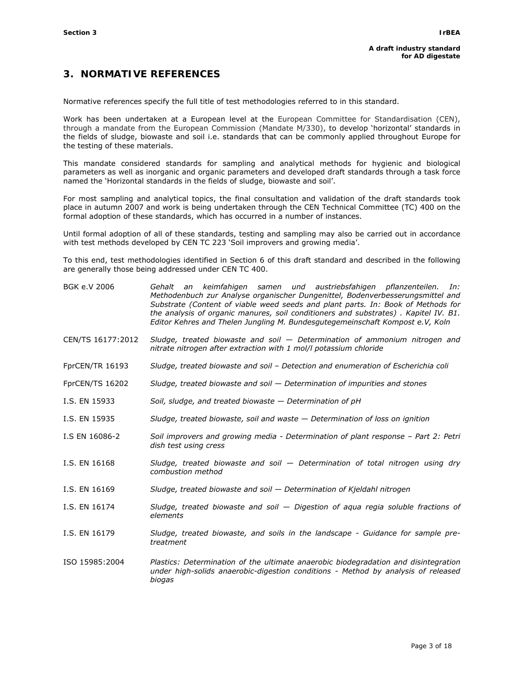# **3. NORMATIVE REFERENCES**

Normative references specify the full title of test methodologies referred to in this standard.

Work has been undertaken at a European level at the European Committee for Standardisation (CEN), through a mandate from the European Commission (Mandate M/330), to develop 'horizontal' standards in the fields of sludge, biowaste and soil i.e. standards that can be commonly applied throughout Europe for the testing of these materials.

This mandate considered standards for sampling and analytical methods for hygienic and biological parameters as well as inorganic and organic parameters and developed draft standards through a task force named the 'Horizontal standards in the fields of sludge, biowaste and soil'.

For most sampling and analytical topics, the final consultation and validation of the draft standards took place in autumn 2007 and work is being undertaken through the CEN Technical Committee (TC) 400 on the formal adoption of these standards, which has occurred in a number of instances.

Until formal adoption of all of these standards, testing and sampling may also be carried out in accordance with test methods developed by CEN TC 223 'Soil improvers and growing media'.

To this end, test methodologies identified in Section 6 of this draft standard and described in the following are generally those being addressed under CEN TC 400.

| BGK e.V 2006      | Gehalt an keimfahigen samen und austriebsfahigen pflanzenteilen.<br>In:<br>Methodenbuch zur Analyse organischer Dungenittel, Bodenverbesserungsmittel and<br>Substrate (Content of viable weed seeds and plant parts. In: Book of Methods for<br>the analysis of organic manures, soil conditioners and substrates). Kapitel IV. B1.<br>Editor Kehres and Thelen Jungling M. Bundesgutegemeinschaft Kompost e.V, Koln |  |  |  |  |  |
|-------------------|-----------------------------------------------------------------------------------------------------------------------------------------------------------------------------------------------------------------------------------------------------------------------------------------------------------------------------------------------------------------------------------------------------------------------|--|--|--|--|--|
| CEN/TS 16177:2012 | Sludge, treated biowaste and soil $-$ Determination of ammonium nitrogen and<br>nitrate nitrogen after extraction with 1 mol/l potassium chloride                                                                                                                                                                                                                                                                     |  |  |  |  |  |
| FprCEN/TR 16193   | Sludge, treated biowaste and soil - Detection and enumeration of Escherichia coli                                                                                                                                                                                                                                                                                                                                     |  |  |  |  |  |
| FprCEN/TS 16202   | Sludge, treated biowaste and soil $-$ Determination of impurities and stones                                                                                                                                                                                                                                                                                                                                          |  |  |  |  |  |
| I.S. EN 15933     | Soil, sludge, and treated biowaste - Determination of pH                                                                                                                                                                                                                                                                                                                                                              |  |  |  |  |  |
| I.S. EN 15935     | Sludge, treated biowaste, soil and waste $-$ Determination of loss on ignition                                                                                                                                                                                                                                                                                                                                        |  |  |  |  |  |
| I.S EN 16086-2    | Soil improvers and growing media - Determination of plant response – Part 2: Petri<br>dish test using cress                                                                                                                                                                                                                                                                                                           |  |  |  |  |  |
| I.S. EN 16168     | Sludge, treated biowaste and soil $-$ Determination of total nitrogen using dry<br>combustion method                                                                                                                                                                                                                                                                                                                  |  |  |  |  |  |
| I.S. EN 16169     | Sludge, treated biowaste and soil - Determination of Kjeldahl nitrogen                                                                                                                                                                                                                                                                                                                                                |  |  |  |  |  |
| I.S. EN 16174     | Sludge, treated biowaste and soil $-$ Digestion of aqua regia soluble fractions of<br>elements                                                                                                                                                                                                                                                                                                                        |  |  |  |  |  |
| I.S. EN 16179     | Sludge, treated biowaste, and soils in the landscape - Guidance for sample pre-<br>treatment                                                                                                                                                                                                                                                                                                                          |  |  |  |  |  |
| ISO 15985:2004    | Plastics: Determination of the ultimate anaerobic biodegradation and disintegration<br>under high-solids anaerobic-digestion conditions - Method by analysis of released<br>biogas                                                                                                                                                                                                                                    |  |  |  |  |  |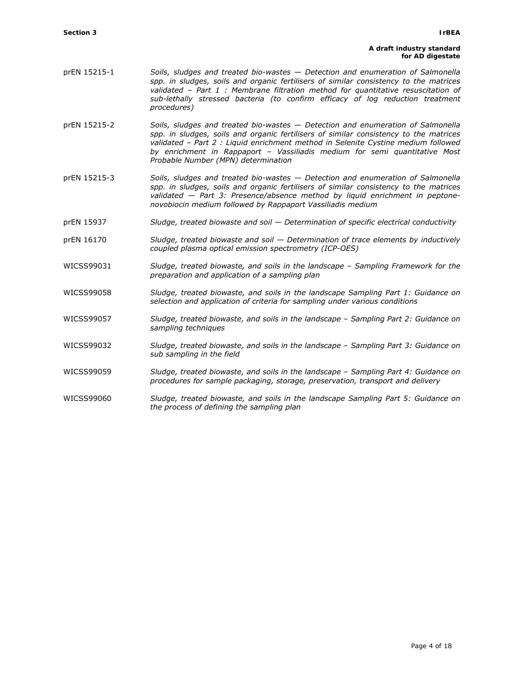#### **A draft industry standard for AD digestate**

- prEN 15215-1 *Soils, sludges and treated bio-wastes Detection and enumeration of Salmonella spp. in sludges, soils and organic fertilisers of similar consistency to the matrices validated – Part 1 : Membrane filtration method for quantitative resuscitation of*  sub-lethally stressed bacteria (to confirm efficacy of log reduction treatment *procedures)*
- prEN 15215-2 *Soils, sludges and treated bio-wastes Detection and enumeration of Salmonella spp. in sludges, soils and organic fertilisers of similar consistency to the matrices validated – Part 2 : Liquid enrichment method in Selenite Cystine medium followed by enrichment in Rappaport – Vassiliadis medium for semi quantitative Most Probable Number (MPN) determination*
- prEN 15215-3 *Soils, sludges and treated bio-wastes Detection and enumeration of Salmonella spp. in sludges, soils and organic fertilisers of similar consistency to the matrices validated — Part 3: Presence/absence method by liquid enrichment in peptonenovobiocin medium followed by Rappaport Vassiliadis medium*
- prEN 15937 *Sludge, treated biowaste and soil Determination of specific electrical conductivity*
- prEN 16170 *Sludge, treated biowaste and soil Determination of trace elements by inductively coupled plasma optical emission spectrometry (ICP-OES)*
- WICSS99031 *Sludge, treated biowaste, and soils in the landscape Sampling Framework for the preparation and application of a sampling plan*
- WICSS99058 *Sludge, treated biowaste, and soils in the landscape Sampling Part 1: Guidance on selection and application of criteria for sampling under various conditions*
- WICSS99057 *Sludge, treated biowaste, and soils in the landscape Sampling Part 2: Guidance on sampling techniques*
- WICSS99032 *Sludge, treated biowaste, and soils in the landscape Sampling Part 3: Guidance on sub sampling in the field*
- WICSS99059 *Sludge, treated biowaste, and soils in the landscape Sampling Part 4: Guidance on procedures for sample packaging, storage, preservation, transport and delivery*
- WICSS99060 *Sludge, treated biowaste, and soils in the landscape Sampling Part 5: Guidance on the process of defining the sampling plan*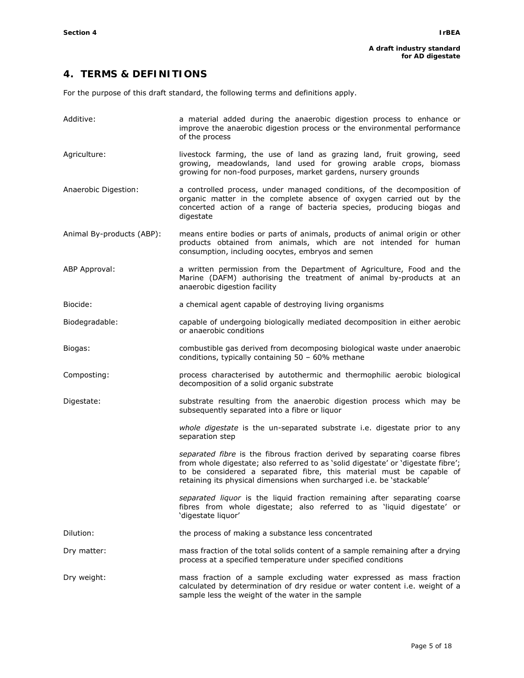# **4. TERMS & DEFINITIONS**

For the purpose of this draft standard, the following terms and definitions apply.

| Additive:                 | a material added during the anaerobic digestion process to enhance or<br>improve the anaerobic digestion process or the environmental performance<br>of the process                                                                                                                                               |
|---------------------------|-------------------------------------------------------------------------------------------------------------------------------------------------------------------------------------------------------------------------------------------------------------------------------------------------------------------|
| Agriculture:              | livestock farming, the use of land as grazing land, fruit growing, seed<br>growing, meadowlands, land used for growing arable crops, biomass<br>growing for non-food purposes, market gardens, nursery grounds                                                                                                    |
| Anaerobic Digestion:      | a controlled process, under managed conditions, of the decomposition of<br>organic matter in the complete absence of oxygen carried out by the<br>concerted action of a range of bacteria species, producing biogas and<br>digestate                                                                              |
| Animal By-products (ABP): | means entire bodies or parts of animals, products of animal origin or other<br>products obtained from animals, which are not intended for human<br>consumption, including oocytes, embryos and semen                                                                                                              |
| ABP Approval:             | a written permission from the Department of Agriculture, Food and the<br>Marine (DAFM) authorising the treatment of animal by-products at an<br>anaerobic digestion facility                                                                                                                                      |
| Biocide:                  | a chemical agent capable of destroying living organisms                                                                                                                                                                                                                                                           |
| Biodegradable:            | capable of undergoing biologically mediated decomposition in either aerobic<br>or anaerobic conditions                                                                                                                                                                                                            |
| Biogas:                   | combustible gas derived from decomposing biological waste under anaerobic<br>conditions, typically containing 50 - 60% methane                                                                                                                                                                                    |
| Composting:               | process characterised by autothermic and thermophilic aerobic biological<br>decomposition of a solid organic substrate                                                                                                                                                                                            |
| Digestate:                | substrate resulting from the anaerobic digestion process which may be<br>subsequently separated into a fibre or liquor                                                                                                                                                                                            |
|                           | whole digestate is the un-separated substrate i.e. digestate prior to any<br>separation step                                                                                                                                                                                                                      |
|                           | separated fibre is the fibrous fraction derived by separating coarse fibres<br>from whole digestate; also referred to as 'solid digestate' or 'digestate fibre';<br>to be considered a separated fibre, this material must be capable of<br>retaining its physical dimensions when surcharged i.e. be 'stackable' |
|                           | separated liquor is the liquid fraction remaining after separating coarse<br>fibres from whole digestate; also referred to as 'liquid digestate' or<br>'digestate liquor'                                                                                                                                         |
| Dilution:                 | the process of making a substance less concentrated                                                                                                                                                                                                                                                               |
| Dry matter:               | mass fraction of the total solids content of a sample remaining after a drying<br>process at a specified temperature under specified conditions                                                                                                                                                                   |
| Dry weight:               | mass fraction of a sample excluding water expressed as mass fraction<br>calculated by determination of dry residue or water content i.e. weight of a<br>sample less the weight of the water in the sample                                                                                                         |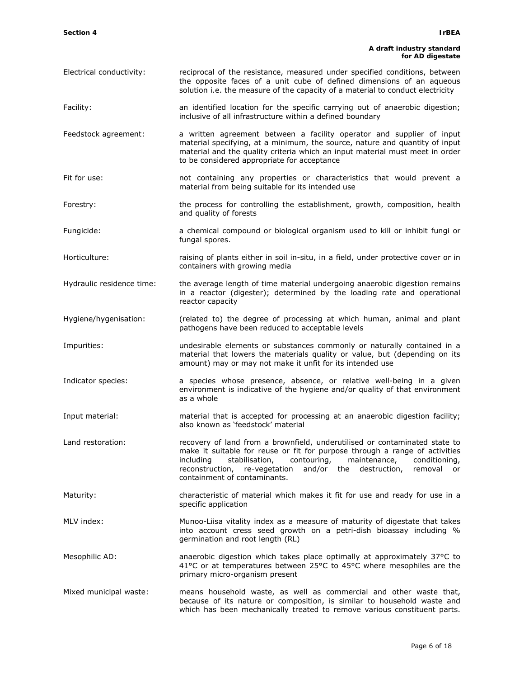#### **A draft industry standard for AD digestate**

- Electrical conductivity: reciprocal of the resistance, measured under specified conditions, between the opposite faces of a unit cube of defined dimensions of an aqueous solution i.e. the measure of the capacity of a material to conduct electricity
- Facility: an identified location for the specific carrying out of anaerobic digestion; inclusive of all infrastructure within a defined boundary
- Feedstock agreement: a written agreement between a facility operator and supplier of input material specifying, at a minimum, the source, nature and quantity of input material and the quality criteria which an input material must meet in order to be considered appropriate for acceptance
- Fit for use: not containing any properties or characteristics that would prevent a material from being suitable for its intended use
- Forestry: the process for controlling the establishment, growth, composition, health and quality of forests
- Fungicide: a chemical compound or biological organism used to kill or inhibit fungi or fungal spores.
- Horticulture: raising of plants either in soil in-situ, in a field, under protective cover or in containers with growing media
- Hydraulic residence time: the average length of time material undergoing anaerobic digestion remains in a reactor (digester); determined by the loading rate and operational reactor capacity
- Hygiene/hygenisation: (related to) the degree of processing at which human, animal and plant pathogens have been reduced to acceptable levels
- Impurities: undesirable elements or substances commonly or naturally contained in a material that lowers the materials quality or value, but (depending on its amount) may or may not make it unfit for its intended use
- Indicator species: a species whose presence, absence, or relative well-being in a given environment is indicative of the hygiene and/or quality of that environment as a whole
- Input material: material that is accepted for processing at an anaerobic digestion facility; also known as 'feedstock' material
- Land restoration: The recovery of land from a brownfield, underutilised or contaminated state to make it suitable for reuse or fit for purpose through a range of activities including stabilisation, contouring, maintenance, conditioning, reconstruction, re-vegetation and/or the destruction, removal or containment of contaminants.
- Maturity: characteristic of material which makes it fit for use and ready for use in a specific application
- MLV index: Munoo-Liisa vitality index as a measure of maturity of digestate that takes into account cress seed growth on a petri-dish bioassay including % germination and root length (RL)
- Mesophilic AD: anaerobic digestion which takes place optimally at approximately 37°C to 41°C or at temperatures between 25°C to 45°C where mesophiles are the primary micro-organism present
- Mixed municipal waste: means household waste, as well as commercial and other waste that, because of its nature or composition, is similar to household waste and which has been mechanically treated to remove various constituent parts.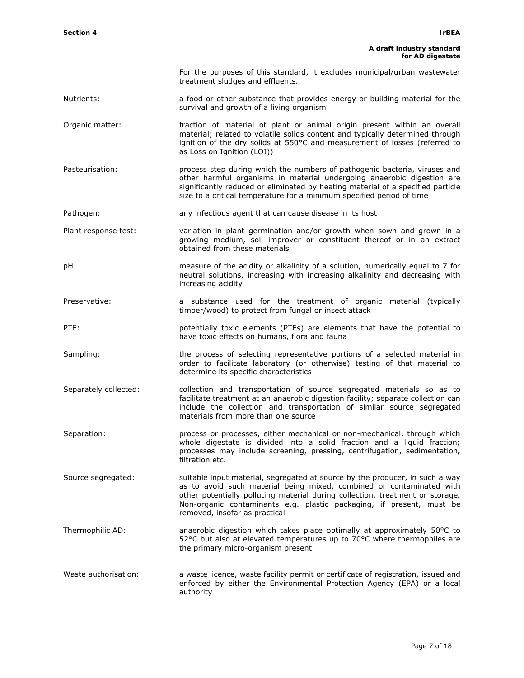# **A draft industry standard**

|                       | for AD digestate                                                                                                                                                                                                                                                                                                                               |
|-----------------------|------------------------------------------------------------------------------------------------------------------------------------------------------------------------------------------------------------------------------------------------------------------------------------------------------------------------------------------------|
|                       | For the purposes of this standard, it excludes municipal/urban wastewater<br>treatment sludges and effluents.                                                                                                                                                                                                                                  |
| Nutrients:            | a food or other substance that provides energy or building material for the<br>survival and growth of a living organism                                                                                                                                                                                                                        |
| Organic matter:       | fraction of material of plant or animal origin present within an overall<br>material; related to volatile solids content and typically determined through<br>ignition of the dry solids at 550°C and measurement of losses (referred to<br>as Loss on Ignition (LOI))                                                                          |
| Pasteurisation:       | process step during which the numbers of pathogenic bacteria, viruses and<br>other harmful organisms in material undergoing anaerobic digestion are<br>significantly reduced or eliminated by heating material of a specified particle<br>size to a critical temperature for a minimum specified period of time                                |
| Pathogen:             | any infectious agent that can cause disease in its host                                                                                                                                                                                                                                                                                        |
| Plant response test:  | variation in plant germination and/or growth when sown and grown in a<br>growing medium, soil improver or constituent thereof or in an extract<br>obtained from these materials                                                                                                                                                                |
| pH:                   | measure of the acidity or alkalinity of a solution, numerically equal to 7 for<br>neutral solutions, increasing with increasing alkalinity and decreasing with<br>increasing acidity                                                                                                                                                           |
| Preservative:         | a substance used for the treatment of organic material (typically<br>timber/wood) to protect from fungal or insect attack                                                                                                                                                                                                                      |
| PTE:                  | potentially toxic elements (PTEs) are elements that have the potential to<br>have toxic effects on humans, flora and fauna                                                                                                                                                                                                                     |
| Sampling:             | the process of selecting representative portions of a selected material in<br>order to facilitate laboratory (or otherwise) testing of that material to<br>determine its specific characteristics                                                                                                                                              |
| Separately collected: | collection and transportation of source segregated materials so as to<br>facilitate treatment at an anaerobic digestion facility; separate collection can<br>include the collection and transportation of similar source segregated<br>materials from more than one source                                                                     |
| Separation:           | process or processes, either mechanical or non-mechanical, through which<br>whole digestate is divided into a solid fraction and a liquid fraction;<br>processes may include screening, pressing, centrifugation, sedimentation,<br>filtration etc.                                                                                            |
| Source segregated:    | suitable input material, segregated at source by the producer, in such a way<br>as to avoid such material being mixed, combined or contaminated with<br>other potentially polluting material during collection, treatment or storage.<br>Non-organic contaminants e.g. plastic packaging, if present, must be<br>removed, insofar as practical |
| Thermophilic AD:      | anaerobic digestion which takes place optimally at approximately 50°C to<br>52°C but also at elevated temperatures up to 70°C where thermophiles are<br>the primary micro-organism present                                                                                                                                                     |
| Waste authorisation:  | a waste licence, waste facility permit or certificate of registration, issued and<br>enforced by either the Environmental Protection Agency (EPA) or a local<br>authority                                                                                                                                                                      |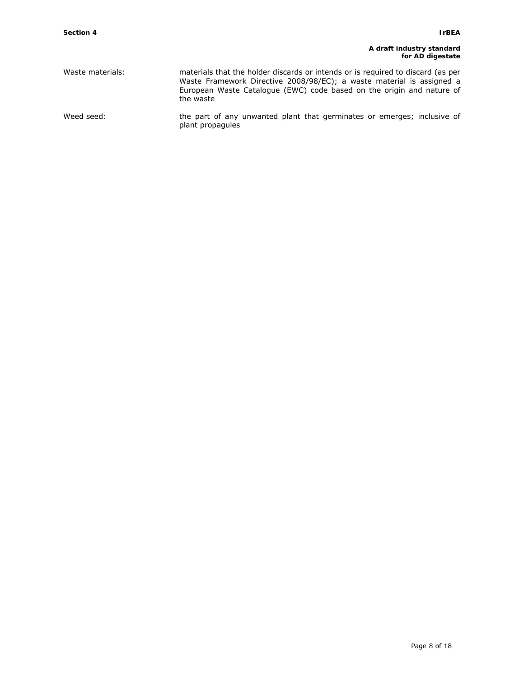#### **A draft industry standard for AD digestate**

| Waste materials: | materials that the holder discards or intends or is required to discard (as per<br>Waste Framework Directive 2008/98/EC); a waste material is assigned a<br>European Waste Catalogue (EWC) code based on the origin and nature of<br>the waste |
|------------------|------------------------------------------------------------------------------------------------------------------------------------------------------------------------------------------------------------------------------------------------|
| Weed seed:       | the part of any unwanted plant that germinates or emerges; inclusive of<br>plant propagules                                                                                                                                                    |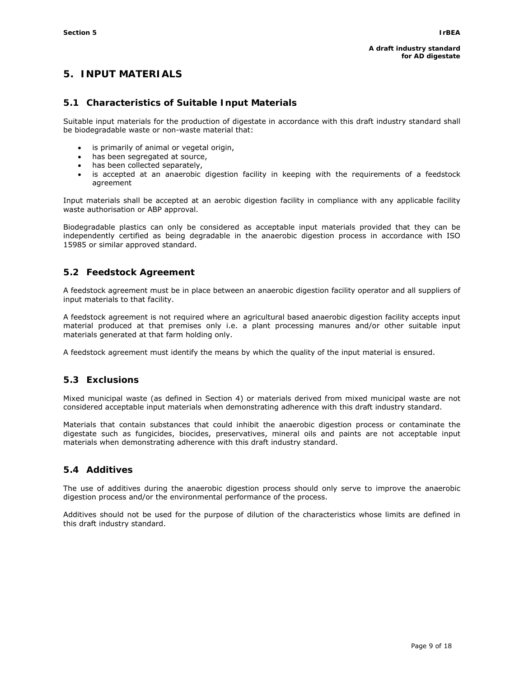# **5. INPUT MATERIALS**

## **5.1 Characteristics of Suitable Input Materials**

Suitable input materials for the production of digestate in accordance with this draft industry standard shall be biodegradable waste or non-waste material that:

- is primarily of animal or vegetal origin,
- has been segregated at source,
- has been collected separately,
- is accepted at an anaerobic digestion facility in keeping with the requirements of a feedstock agreement

Input materials shall be accepted at an aerobic digestion facility in compliance with any applicable facility waste authorisation or ABP approval.

Biodegradable plastics can only be considered as acceptable input materials provided that they can be independently certified as being degradable in the anaerobic digestion process in accordance with ISO 15985 or similar approved standard.

## **5.2 Feedstock Agreement**

A feedstock agreement must be in place between an anaerobic digestion facility operator and all suppliers of input materials to that facility.

A feedstock agreement is not required where an agricultural based anaerobic digestion facility accepts input material produced at that premises only i.e. a plant processing manures and/or other suitable input materials generated at that farm holding only.

A feedstock agreement must identify the means by which the quality of the input material is ensured.

## **5.3 Exclusions**

Mixed municipal waste (as defined in Section 4) or materials derived from mixed municipal waste are not considered acceptable input materials when demonstrating adherence with this draft industry standard.

Materials that contain substances that could inhibit the anaerobic digestion process or contaminate the digestate such as fungicides, biocides, preservatives, mineral oils and paints are not acceptable input materials when demonstrating adherence with this draft industry standard.

## **5.4 Additives**

The use of additives during the anaerobic digestion process should only serve to improve the anaerobic digestion process and/or the environmental performance of the process.

Additives should not be used for the purpose of dilution of the characteristics whose limits are defined in this draft industry standard.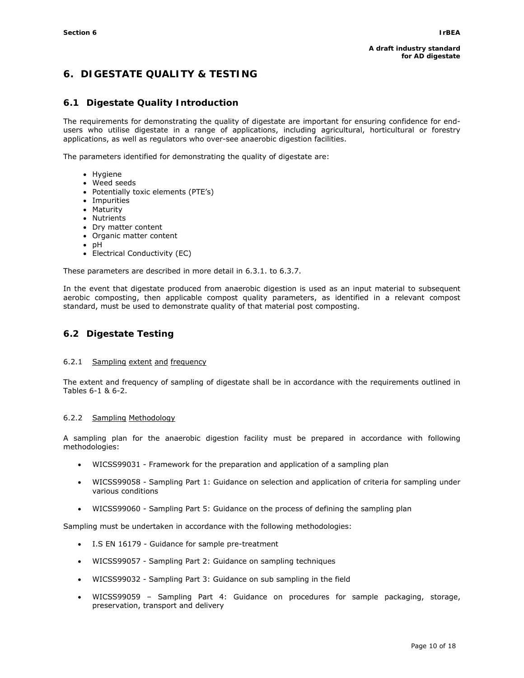# **6. DIGESTATE QUALITY & TESTING**

## **6.1 Digestate Quality Introduction**

The requirements for demonstrating the quality of digestate are important for ensuring confidence for endusers who utilise digestate in a range of applications, including agricultural, horticultural or forestry applications, as well as regulators who over-see anaerobic digestion facilities.

The parameters identified for demonstrating the quality of digestate are:

- Hygiene
- Weed seeds
- Potentially toxic elements (PTE's)
- Impurities
- Maturity
- Nutrients
- Dry matter content
- Organic matter content
- pH
- Electrical Conductivity (EC)

These parameters are described in more detail in 6.3.1. to 6.3.7.

In the event that digestate produced from anaerobic digestion is used as an input material to subsequent aerobic composting, then applicable compost quality parameters, as identified in a relevant compost standard, must be used to demonstrate quality of that material post composting.

## **6.2 Digestate Testing**

#### 6.2.1 Sampling extent and frequency

The extent and frequency of sampling of digestate shall be in accordance with the requirements outlined in Tables 6-1 & 6-2.

#### 6.2.2 Sampling Methodology

A sampling plan for the anaerobic digestion facility must be prepared in accordance with following methodologies:

- WICSS99031 Framework for the preparation and application of a sampling plan
- WICSS99058 Sampling Part 1: Guidance on selection and application of criteria for sampling under various conditions
- WICSS99060 Sampling Part 5: Guidance on the process of defining the sampling plan

Sampling must be undertaken in accordance with the following methodologies:

- I.S EN 16179 Guidance for sample pre-treatment
- WICSS99057 Sampling Part 2: Guidance on sampling techniques
- WICSS99032 Sampling Part 3: Guidance on sub sampling in the field
- WICSS99059 Sampling Part 4: Guidance on procedures for sample packaging, storage, preservation, transport and delivery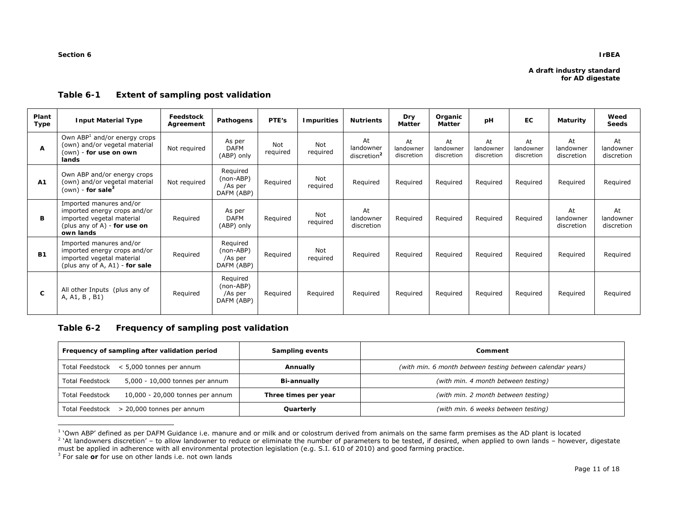#### **Section 6**

#### **IrBEA**

#### **Table 6-1 Extent of sampling post validation**

| Plant<br>Type | <b>Input Material Type</b>                                                                                                        | Feedstock<br>Agreement | Pathogens                                      | PTE's           | <b>Impurities</b>      | <b>Nutrients</b>                           | <b>Dry</b><br>Matter          | Organic<br><b>Matter</b>      | pH                            | <b>EC</b>                     | Maturity                      | Weed<br><b>Seeds</b>          |
|---------------|-----------------------------------------------------------------------------------------------------------------------------------|------------------------|------------------------------------------------|-----------------|------------------------|--------------------------------------------|-------------------------------|-------------------------------|-------------------------------|-------------------------------|-------------------------------|-------------------------------|
| A             | Own ABP <sup>1</sup> and/or energy crops<br>(own) and/or vegetal material<br>(own) - <b>for use on own</b><br>lands               | Not required           | As per<br><b>DAFM</b><br>(ABP) only            | Not<br>required | <b>Not</b><br>required | At<br>landowner<br>discretion <sup>2</sup> | At<br>landowner<br>discretion | At<br>landowner<br>discretion | At<br>landowner<br>discretion | At<br>landowner<br>discretion | At<br>landowner<br>discretion | At<br>landowner<br>discretion |
| A1            | Own ABP and/or energy crops<br>(own) and/or vegetal material<br>(own) - for sale <sup>3</sup>                                     | Not required           | Required<br>(non-ABP)<br>/As per<br>DAFM (ABP) | Required        | Not<br>required        | Required                                   | Required                      | Required                      | Required                      | Required                      | Required                      | Required                      |
| B.            | Imported manures and/or<br>imported energy crops and/or<br>imported vegetal material<br>(plus any of A) - for use on<br>own lands | Reguired               | As per<br><b>DAFM</b><br>(ABP) only            | Required        | Not<br>required        | At<br>landowner<br>discretion              | Required                      | Required                      | Required                      | Required                      | At<br>landowner<br>discretion | At<br>landowner<br>discretion |
| <b>B1</b>     | Imported manures and/or<br>imported energy crops and/or<br>imported vegetal material<br>(plus any of A, A1) - for sale            | Required               | Required<br>(non-ABP)<br>/As per<br>DAFM (ABP) | Required        | Not<br>required        | Required                                   | Required                      | Required                      | Required                      | Required                      | Required                      | Required                      |
| C             | All other Inputs (plus any of<br>A, A1, B, B1)                                                                                    | Required               | Required<br>(non-ABP)<br>/As per<br>DAFM (ABP) | Required        | Required               | Required                                   | Required                      | Required                      | Required                      | Required                      | Required                      | Required                      |

## **Table 6-2 Frequency of sampling post validation**

|                                          | Frequency of sampling after validation period | Sampling events      | Comment                                                    |  |
|------------------------------------------|-----------------------------------------------|----------------------|------------------------------------------------------------|--|
| Total Feedstock < 5,000 tonnes per annum |                                               | Annually             | (with min. 6 month between testing between calendar years) |  |
| <b>Total Feedstock</b>                   | 5,000 - 10,000 tonnes per annum               | Bi-annually          | (with min. 4 month between testing)                        |  |
| <b>Total Feedstock</b>                   | 10,000 - 20,000 tonnes per annum              | Three times per year | (with min. 2 month between testing)                        |  |
|                                          | Total Feedstock > 20,000 tonnes per annum     | Quarterly            | (with min. 6 weeks between testing)                        |  |

<sup>&</sup>lt;sup>1</sup> 'Own ABP' defined as per DAFM Guidance i.e. manure and or milk and or colostrum derived from animals on the same farm premises as the AD plant is located

must be applied in adherence with all environmental protection legislation (e.g. S.I. 610 of 2010) and good farming practice.

<sup>3</sup> For sale or for use on other lands i.e. not own lands

<sup>&</sup>lt;sup>2</sup> 'At landowners discretion' – to allow landowner to reduce or eliminate the number of parameters to be tested, if desired, when applied to own lands – however, digestate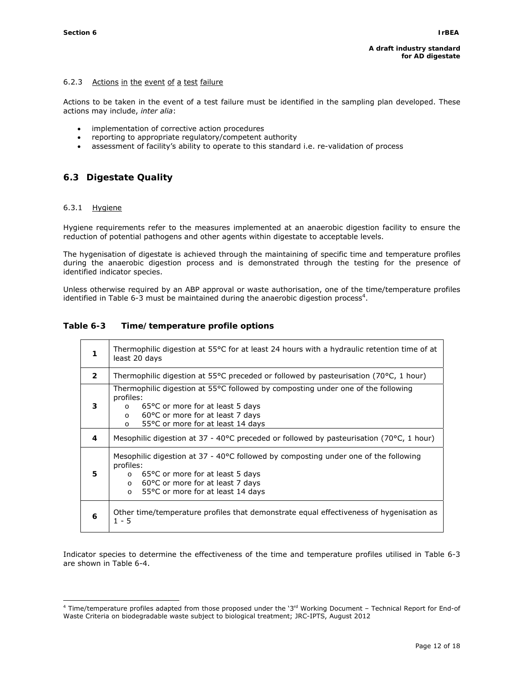#### 6.2.3 Actions in the event of a test failure

Actions to be taken in the event of a test failure must be identified in the sampling plan developed. These actions may include, *inter alia*:

- implementation of corrective action procedures
- reporting to appropriate regulatory/competent authority
- assessment of facility's ability to operate to this standard i.e. re-validation of process

# **6.3 Digestate Quality**

#### 6.3.1 Hygiene

Hygiene requirements refer to the measures implemented at an anaerobic digestion facility to ensure the reduction of potential pathogens and other agents within digestate to acceptable levels.

The hygenisation of digestate is achieved through the maintaining of specific time and temperature profiles during the anaerobic digestion process and is demonstrated through the testing for the presence of identified indicator species.

Unless otherwise required by an ABP approval or waste authorisation, one of the time/temperature profiles identified in Table 6-3 must be maintained during the anaerobic digestion process<sup>4</sup>.

### **Table 6-3 Time/temperature profile options**

| 1              | Thermophilic digestion at 55 $\degree$ C for at least 24 hours with a hydraulic retention time of at<br>least 20 days                                                                                                                          |  |  |  |
|----------------|------------------------------------------------------------------------------------------------------------------------------------------------------------------------------------------------------------------------------------------------|--|--|--|
| $\overline{2}$ | Thermophilic digestion at 55°C preceded or followed by pasteurisation (70°C, 1 hour)                                                                                                                                                           |  |  |  |
| 3              | Thermophilic digestion at 55°C followed by composting under one of the following<br>profiles:<br>65 °C or more for at least 5 days<br>$\circ$<br>60°C or more for at least 7 days<br>$\circ$<br>55 °C or more for at least 14 days<br>$\Omega$ |  |  |  |
| 4              | Mesophilic digestion at 37 - 40°C preceded or followed by pasteurisation (70°C, 1 hour)                                                                                                                                                        |  |  |  |
| 5.             | Mesophilic digestion at 37 - 40°C followed by composting under one of the following<br>profiles:<br>$\circ$ 65°C or more for at least 5 days<br>60°C or more for at least 7 days<br>$\circ$<br>55°C or more for at least 14 days<br>$\circ$    |  |  |  |
| 6              | Other time/temperature profiles that demonstrate equal effectiveness of hygenisation as<br>$1 - 5$                                                                                                                                             |  |  |  |

Indicator species to determine the effectiveness of the time and temperature profiles utilised in Table 6-3 are shown in Table 6-4.

 4 Time/temperature profiles adapted from those proposed under the '3rd Working Document – Technical Report for End-of Waste Criteria on biodegradable waste subject to biological treatment; JRC-IPTS, August 2012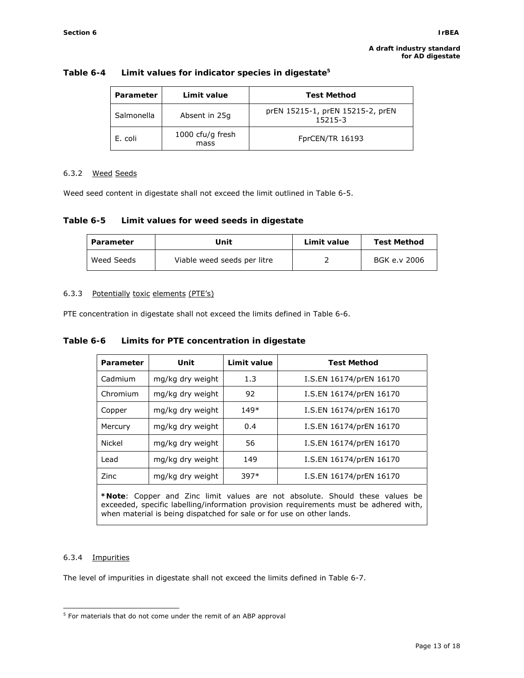| Parameter  | Limit value              | <b>Test Method</b>                          |
|------------|--------------------------|---------------------------------------------|
| Salmonella | Absent in 25q            | prEN 15215-1, prEN 15215-2, prEN<br>15215-3 |
| E. coli    | 1000 cfu/g fresh<br>mass | FprCEN/TR 16193                             |

#### **Table 6-4 Limit values for indicator species in digestate5**

#### 6.3.2 Weed Seeds

Weed seed content in digestate shall not exceed the limit outlined in Table 6-5.

#### **Table 6-5 Limit values for weed seeds in digestate**

| Unit<br>Parameter |                             | Limit value | <b>Test Method</b> |  |
|-------------------|-----------------------------|-------------|--------------------|--|
| Weed Seeds        | Viable weed seeds per litre |             | BGK e.v 2006       |  |

#### 6.3.3 Potentially toxic elements (PTE's)

PTE concentration in digestate shall not exceed the limits defined in Table 6-6.

#### **Table 6-6 Limits for PTE concentration in digestate**

| Parameter                                                                                                                                                            | Unit             | Limit value | <b>Test Method</b>      |  |  |
|----------------------------------------------------------------------------------------------------------------------------------------------------------------------|------------------|-------------|-------------------------|--|--|
| Cadmium                                                                                                                                                              | mg/kg dry weight | 1.3         | I.S.EN 16174/prEN 16170 |  |  |
| Chromium                                                                                                                                                             | mg/kg dry weight | 92          | I.S.EN 16174/prEN 16170 |  |  |
| Copper                                                                                                                                                               | mg/kg dry weight | 149*        | I.S.EN 16174/prEN 16170 |  |  |
| Mercury                                                                                                                                                              | mg/kg dry weight | 0.4         | I.S.EN 16174/prEN 16170 |  |  |
| Nickel                                                                                                                                                               | mg/kg dry weight | 56          | I.S.EN 16174/prEN 16170 |  |  |
| Lead                                                                                                                                                                 | mg/kg dry weight | 149         | I.S.EN 16174/prEN 16170 |  |  |
| Zinc                                                                                                                                                                 | mg/kg dry weight | 397*        | I.S.EN 16174/prEN 16170 |  |  |
| *Note: Copper and Zinc limit values are not absolute. Should these values be<br>exceeded, specific labelling/information provision requirements must be adhered with |                  |             |                         |  |  |

eded, specific labelling/information provision requirements must be adhered with, when material is being dispatched for sale or for use on other lands.

#### 6.3.4 Impurities

The level of impurities in digestate shall not exceed the limits defined in Table 6-7.

 $\overline{a}$ <sup>5</sup> For materials that do not come under the remit of an ABP approval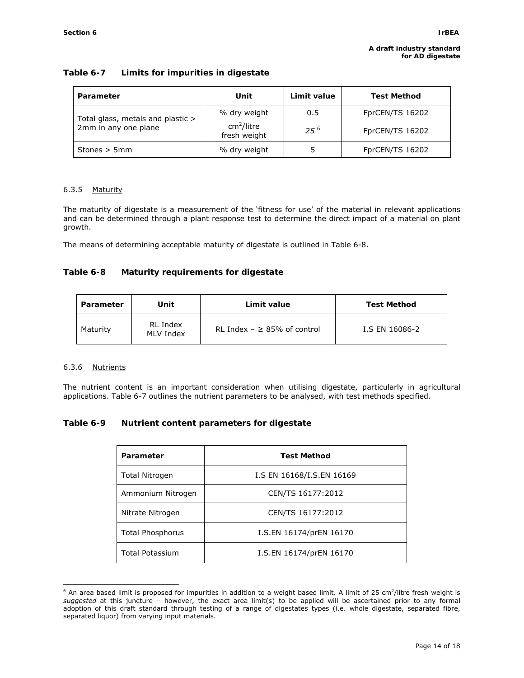## **Table 6-7 Limits for impurities in digestate**

| Parameter                         | Unit                                   | Limit value | <b>Test Method</b> |
|-----------------------------------|----------------------------------------|-------------|--------------------|
| Total glass, metals and plastic > | % dry weight                           | 0.5         | FprCEN/TS 16202    |
| 2mm in any one plane              | cm <sup>2</sup> /litre<br>fresh weight | $25^{6}$    | FprCEN/TS 16202    |
| Stones $> 5$ mm                   | % dry weight                           |             | FprCEN/TS 16202    |

## 6.3.5 Maturity

The maturity of digestate is a measurement of the 'fitness for use' of the material in relevant applications and can be determined through a plant response test to determine the direct impact of a material on plant growth.

The means of determining acceptable maturity of digestate is outlined in Table 6-8.

## **Table 6-8 Maturity requirements for digestate**

| Parameter | Unit                         | Limit value                       | <b>Test Method</b> |
|-----------|------------------------------|-----------------------------------|--------------------|
| Maturity  | <b>RL Index</b><br>MLV Index | RL Index $- \geq 85\%$ of control | I.S EN 16086-2     |

## 6.3.6 Nutrients

The nutrient content is an important consideration when utilising digestate, particularly in agricultural applications. Table 6-7 outlines the nutrient parameters to be analysed, with test methods specified.

## **Table 6-9 Nutrient content parameters for digestate**

| Parameter               | <b>Test Method</b>        |  |
|-------------------------|---------------------------|--|
| <b>Total Nitrogen</b>   | I.S EN 16168/I.S.EN 16169 |  |
| Ammonium Nitrogen       | CEN/TS 16177:2012         |  |
| Nitrate Nitrogen        | CEN/TS 16177:2012         |  |
| <b>Total Phosphorus</b> | I.S.EN 16174/prEN 16170   |  |
| <b>Total Potassium</b>  | I.S.EN 16174/prEN 16170   |  |

 6 An area based limit is proposed for impurities in addition to a weight based limit. A limit of 25 cm<sup>2</sup> /litre fresh weight is *suggested* at this juncture – however, the exact area limit(s) to be applied will be ascertained prior to any formal adoption of this draft standard through testing of a range of digestates types (i.e. whole digestate, separated fibre, separated liquor) from varying input materials.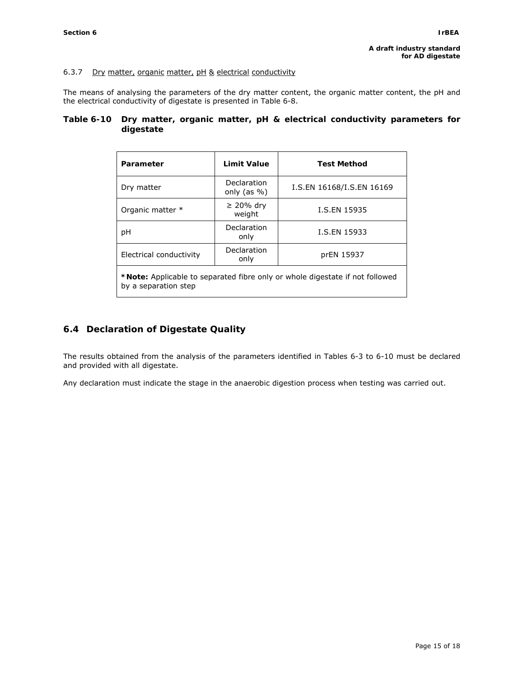### 6.3.7 Dry matter, organic matter, pH & electrical conductivity

The means of analysing the parameters of the dry matter content, the organic matter content, the pH and the electrical conductivity of digestate is presented in Table 6-8.

### **Table 6-10 Dry matter, organic matter, pH & electrical conductivity parameters for digestate**

| Parameter                                                                    | Limit Value                           | <b>Test Method</b>        |  |  |
|------------------------------------------------------------------------------|---------------------------------------|---------------------------|--|--|
| Dry matter                                                                   | <b>Declaration</b><br>only (as $\%$ ) | I.S.EN 16168/I.S.EN 16169 |  |  |
| Organic matter *                                                             | $\geq$ 20% dry<br>weight              | I.S.EN 15935              |  |  |
| рH                                                                           | Declaration<br>only                   | I.S.EN 15933              |  |  |
| Electrical conductivity                                                      | Declaration<br>only                   | prEN 15937                |  |  |
| *Note: Applicable to separated fibre only or whole digestate if not followed |                                       |                           |  |  |

by a separation step

# **6.4 Declaration of Digestate Quality**

The results obtained from the analysis of the parameters identified in Tables 6-3 to 6-10 must be declared and provided with all digestate.

Any declaration must indicate the stage in the anaerobic digestion process when testing was carried out.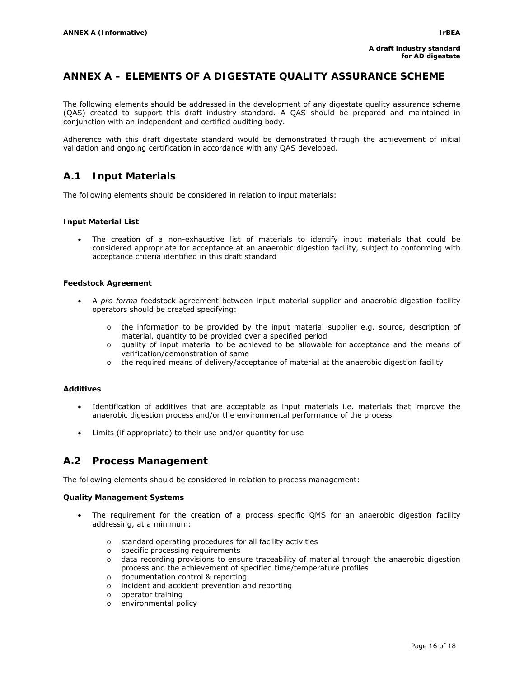# **ANNEX A – ELEMENTS OF A DIGESTATE QUALITY ASSURANCE SCHEME**

The following elements should be addressed in the development of any digestate quality assurance scheme (QAS) created to support this draft industry standard. A QAS should be prepared and maintained in conjunction with an independent and certified auditing body.

Adherence with this draft digestate standard would be demonstrated through the achievement of initial validation and ongoing certification in accordance with any QAS developed.

# **A.1 Input Materials**

The following elements should be considered in relation to input materials:

#### **Input Material List**

The creation of a non-exhaustive list of materials to identify input materials that could be considered appropriate for acceptance at an anaerobic digestion facility, subject to conforming with acceptance criteria identified in this draft standard

#### **Feedstock Agreement**

- A *pro-forma* feedstock agreement between input material supplier and anaerobic digestion facility operators should be created specifying:
	- $\circ$  the information to be provided by the input material supplier e.g. source, description of material, quantity to be provided over a specified period
	- o quality of input material to be achieved to be allowable for acceptance and the means of verification/demonstration of same
	- o the required means of delivery/acceptance of material at the anaerobic digestion facility

#### **Additives**

- Identification of additives that are acceptable as input materials i.e. materials that improve the anaerobic digestion process and/or the environmental performance of the process
- Limits (if appropriate) to their use and/or quantity for use

## **A.2 Process Management**

The following elements should be considered in relation to process management:

#### **Quality Management Systems**

- The requirement for the creation of a process specific QMS for an anaerobic digestion facility addressing, at a minimum:
	- o standard operating procedures for all facility activities
	- o specific processing requirements
	- o data recording provisions to ensure traceability of material through the anaerobic digestion process and the achievement of specified time/temperature profiles
	- o documentation control & reporting
	- o incident and accident prevention and reporting
	- o operator training
	- o environmental policy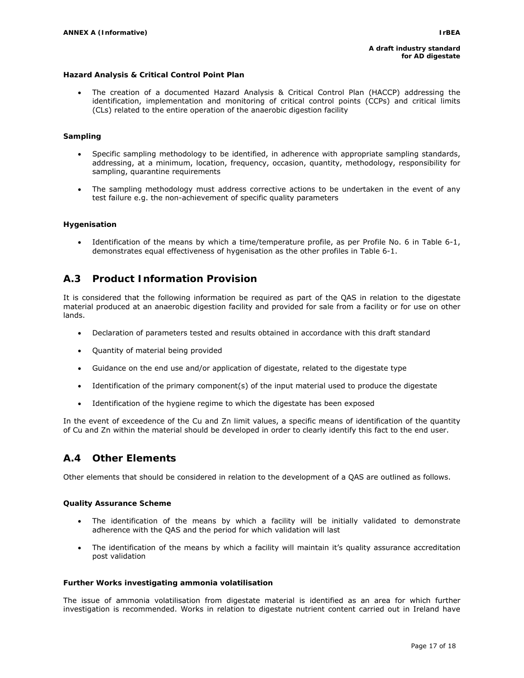#### **Hazard Analysis & Critical Control Point Plan**

• The creation of a documented Hazard Analysis & Critical Control Plan (HACCP) addressing the identification, implementation and monitoring of critical control points (CCPs) and critical limits (CLs) related to the entire operation of the anaerobic digestion facility

#### **Sampling**

- Specific sampling methodology to be identified, in adherence with appropriate sampling standards, addressing, at a minimum, location, frequency, occasion, quantity, methodology, responsibility for sampling, quarantine requirements
- The sampling methodology must address corrective actions to be undertaken in the event of any test failure e.g. the non-achievement of specific quality parameters

#### **Hygenisation**

Identification of the means by which a time/temperature profile, as per Profile No. 6 in Table 6-1, demonstrates equal effectiveness of hygenisation as the other profiles in Table 6-1.

# **A.3 Product Information Provision**

It is considered that the following information be required as part of the QAS in relation to the digestate material produced at an anaerobic digestion facility and provided for sale from a facility or for use on other lands.

- Declaration of parameters tested and results obtained in accordance with this draft standard
- Quantity of material being provided
- Guidance on the end use and/or application of digestate, related to the digestate type
- Identification of the primary component(s) of the input material used to produce the digestate
- Identification of the hygiene regime to which the digestate has been exposed

In the event of exceedence of the Cu and Zn limit values, a specific means of identification of the quantity of Cu and Zn within the material should be developed in order to clearly identify this fact to the end user.

# **A.4 Other Elements**

Other elements that should be considered in relation to the development of a QAS are outlined as follows.

#### **Quality Assurance Scheme**

- The identification of the means by which a facility will be initially validated to demonstrate adherence with the QAS and the period for which validation will last
- The identification of the means by which a facility will maintain it's quality assurance accreditation post validation

#### **Further Works investigating ammonia volatilisation**

The issue of ammonia volatilisation from digestate material is identified as an area for which further investigation is recommended. Works in relation to digestate nutrient content carried out in Ireland have